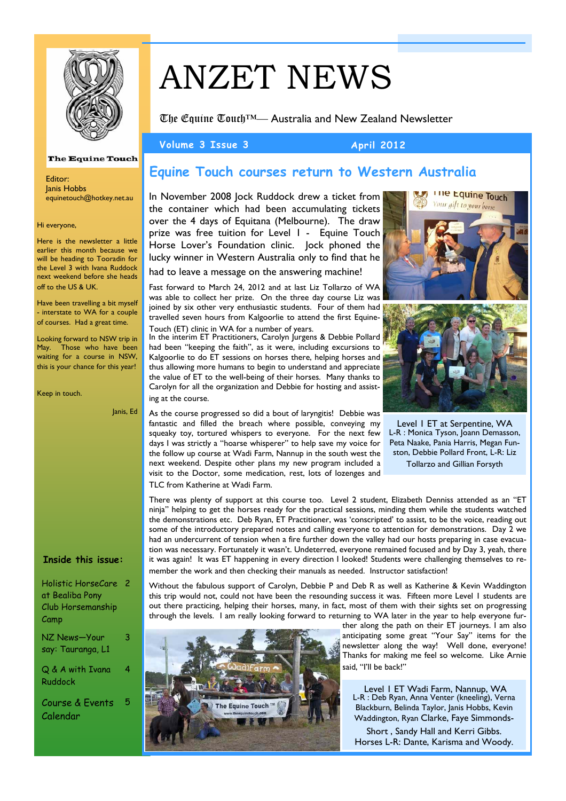

# ANZET NEWS

The Equine Touch™— Australia and New Zealand Newsletter

Volume 3 Issue 3 **April 2012** 

### **Equine Touch courses return to Western Australia**

In November 2008 Jock Ruddock drew a ticket from the container which had been accumulating tickets over the 4 days of Equitana (Melbourne). The draw prize was free tuition for Level 1 - Equine Touch Horse Lover's Foundation clinic. Jock phoned the lucky winner in Western Australia only to find that he

### had to leave a message on the answering machine!

Fast forward to March 24, 2012 and at last Liz Tollarzo of WA was able to collect her prize. On the three day course Liz was joined by six other very enthusiastic students. Four of them had travelled seven hours from Kalgoorlie to attend the first Equine-Touch (ET) clinic in WA for a number of years.

In the interim ET Practitioners, Carolyn Jurgens & Debbie Pollard had been "keeping the faith", as it were, including excursions to Kalgoorlie to do ET sessions on horses there, helping horses and thus allowing more humans to begin to understand and appreciate the value of ET to the well-being of their horses. Many thanks to Carolyn for all the organization and Debbie for hosting and assisting at the course.

As the course progressed so did a bout of laryngitis! Debbie was fantastic and filled the breach where possible, conveying my squeaky toy, tortured whispers to everyone. For the next few days I was strictly a "hoarse whisperer" to help save my voice for the follow up course at Wadi Farm, Nannup in the south west the next weekend. Despite other plans my new program included a visit to the Doctor, some medication, rest, lots of lozenges and

Your gift to your horse

The Equine Touch

Level 1 ET at Serpentine, WA L-R : Monica Tyson, Joann Demasson, Peta Naake, Pania Harris, Megan Funston, Debbie Pollard Front, L-R: Liz Tollarzo and Gillian Forsyth

TLC from Katherine at Wadi Farm.

There was plenty of support at this course too. Level 2 student, Elizabeth Denniss attended as an "ET ninja" helping to get the horses ready for the practical sessions, minding them while the students watched the demonstrations etc. Deb Ryan, ET Practitioner, was 'conscripted' to assist, to be the voice, reading out some of the introductory prepared notes and calling everyone to attention for demonstrations. Day 2 we had an undercurrent of tension when a fire further down the valley had our hosts preparing in case evacuation was necessary. Fortunately it wasn't. Undeterred, everyone remained focused and by Day 3, yeah, there it was again! It was ET happening in every direction I looked! Students were challenging themselves to remember the work and then checking their manuals as needed. Instructor satisfaction!

Without the fabulous support of Carolyn, Debbie P and Deb R as well as Katherine & Kevin Waddington this trip would not, could not have been the resounding success it was. Fifteen more Level 1 students are out there practicing, helping their horses, many, in fact, most of them with their sights set on progressing through the levels. I am really looking forward to returning to WA later in the year to help everyone fur-



ther along the path on their ET journeys. I am also anticipating some great "Your Say" items for the newsletter along the way! Well done, everyone! Thanks for making me feel so welcome. Like Arnie said, "I'll be back!"

 Level 1 ET Wadi Farm, Nannup, WA L-R : Deb Ryan, Anna Venter (kneeling), Verna Blackburn, Belinda Taylor, Janis Hobbs, Kevin Waddington, Ryan Clarke, Faye Simmonds-Short , Sandy Hall and Kerri Gibbs. Horses L-R: Dante, Karisma and Woody.

### **The Equine Touch**

Editor: Janis Hobbs equinetouch@hotkey.net.au

Hi everyone,

Here is the newsletter a little earlier this month because we will be heading to Tooradin for the Level 3 with Ivana Ruddock next weekend before she heads off to the US & UK.

Have been travelling a bit myself - interstate to WA for a couple of courses. Had a great time.

 Looking forward to NSW trip in May. Those who have been waiting for a course in NSW, this is your chance for this year!

Keep in touch.

Janis, Ed

**Inside this issue:** 

| Holistic HorseCare 2<br>at Bealiba Pony<br>Club Horsemanship<br>Camp |   |
|----------------------------------------------------------------------|---|
| NZ News-Your<br>say: Tauranga, L1                                    | 3 |
| Q & A with Ivana<br>Ruddock                                          | 4 |
| Course & Events<br>Calendar                                          | 5 |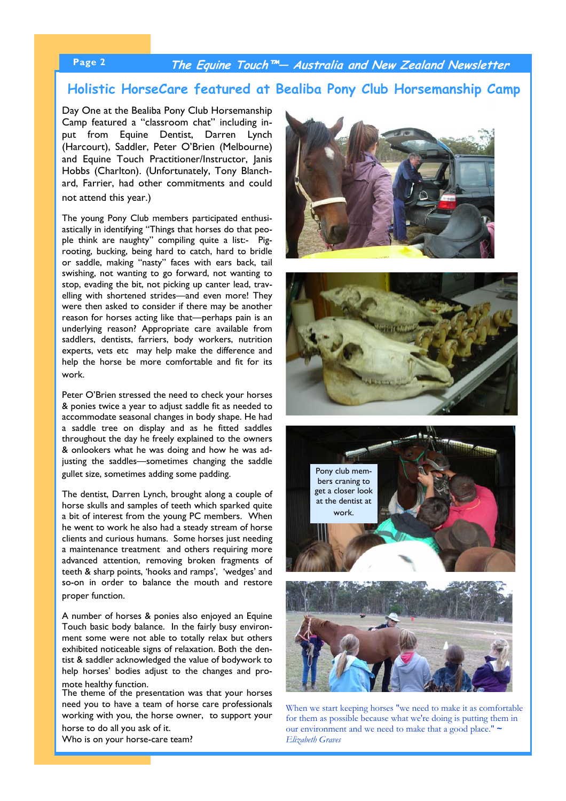### **Page 2 The Equine Touch™— Australia and New Zealand Newsletter**

# **Holistic HorseCare featured at Bealiba Pony Club Horsemanship Camp**

Day One at the Bealiba Pony Club Horsemanship Camp featured a "classroom chat" including input from Equine Dentist, Darren Lynch (Harcourt), Saddler, Peter O'Brien (Melbourne) and Equine Touch Practitioner/Instructor, Janis Hobbs (Charlton). (Unfortunately, Tony Blanchard, Farrier, had other commitments and could not attend this year.)

The young Pony Club members participated enthusiastically in identifying "Things that horses do that people think are naughty" compiling quite a list:- Pigrooting, bucking, being hard to catch, hard to bridle or saddle, making "nasty" faces with ears back, tail swishing, not wanting to go forward, not wanting to stop, evading the bit, not picking up canter lead, travelling with shortened strides—and even more! They were then asked to consider if there may be another reason for horses acting like that—perhaps pain is an underlying reason? Appropriate care available from saddlers, dentists, farriers, body workers, nutrition experts, vets etc may help make the difference and help the horse be more comfortable and fit for its work.

Peter O'Brien stressed the need to check your horses & ponies twice a year to adjust saddle fit as needed to accommodate seasonal changes in body shape. He had a saddle tree on display and as he fitted saddles throughout the day he freely explained to the owners & onlookers what he was doing and how he was adjusting the saddles—sometimes changing the saddle gullet size, sometimes adding some padding.

The dentist, Darren Lynch, brought along a couple of horse skulls and samples of teeth which sparked quite a bit of interest from the young PC members. When he went to work he also had a steady stream of horse clients and curious humans. Some horses just needing a maintenance treatment and others requiring more advanced attention, removing broken fragments of teeth & sharp points, 'hooks and ramps', 'wedges' and so-on in order to balance the mouth and restore proper function.

A number of horses & ponies also enjoyed an Equine Touch basic body balance. In the fairly busy environment some were not able to totally relax but others exhibited noticeable signs of relaxation. Both the dentist & saddler acknowledged the value of bodywork to help horses' bodies adjust to the changes and promote healthy function.

The theme of the presentation was that your horses need you to have a team of horse care professionals working with you, the horse owner, to support your

horse to do all you ask of it. Who is on your horse-care team?









When we start keeping horses "we need to make it as comfortable for them as possible because what we're doing is putting them in our environment and we need to make that a good place."  $\sim$ *Elizabeth Graves*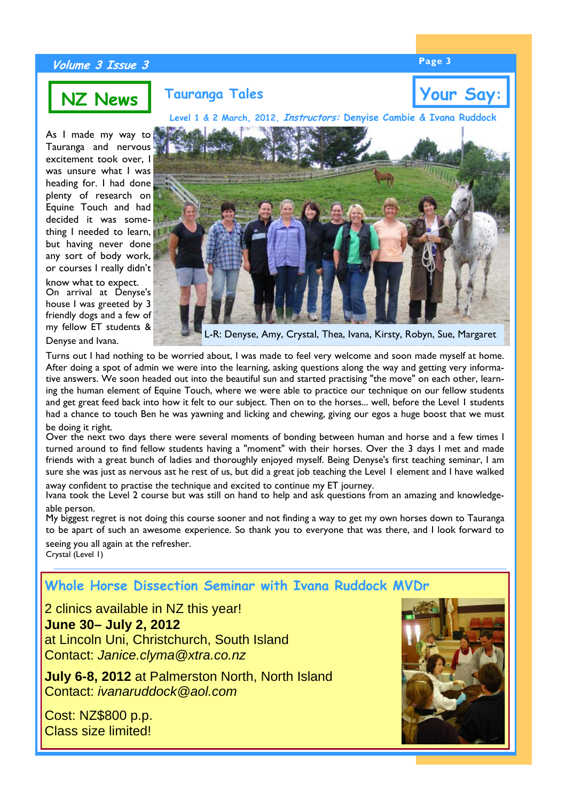# **Page 3 Volume 3 Issue 3**

**NZ News Tauranga Tales Your Say:** 

**Level 1 & 2 March, 2012, Instructors: Denyise Cambie & Ivana Ruddock**

As I made my way to Tauranga and nervous excitement took over, I was unsure what I was heading for. I had done plenty of research on Equine Touch and had decided it was something I needed to learn, but having never done any sort of body work, or courses I really didn't

know what to expect. On arrival at Denyse's house I was greeted by 3 friendly dogs and a few of my fellow ET students & Denyse and Ivana.



L-R: Denyse, Amy, Crystal, Thea, Ivana, Kirsty, Robyn, Sue, Margaret

Turns out I had nothing to be worried about, I was made to feel very welcome and soon made myself at home. After doing a spot of admin we were into the learning, asking questions along the way and getting very informative answers. We soon headed out into the beautiful sun and started practising "the move" on each other, learning the human element of Equine Touch, where we were able to practice our technique on our fellow students and get great feed back into how it felt to our subject. Then on to the horses... well, before the Level 1 students had a chance to touch Ben he was yawning and licking and chewing, giving our egos a huge boost that we must

### be doing it right.

Over the next two days there were several moments of bonding between human and horse and a few times I turned around to find fellow students having a "moment" with their horses. Over the 3 days I met and made friends with a great bunch of ladies and thoroughly enjoyed myself. Being Denyse's first teaching seminar, I am sure she was just as nervous ast he rest of us, but did a great job teaching the Level 1 element and I have walked away confident to practise the technique and excited to continue my ET journey.

Ivana took the Level 2 course but was still on hand to help and ask questions from an amazing and knowledgeable person.

My biggest regret is not doing this course sooner and not finding a way to get my own horses down to Tauranga to be apart of such an awesome experience. So thank you to everyone that was there, and I look forward to seeing you all again at the refresher.

Crystal (Level 1)

**Whole Horse Dissection Seminar with Ivana Ruddock MVDr**

2 clinics available in NZ this year! **June 30– July 2, 2012**  at Lincoln Uni, Christchurch, South Island Contact: *Janice.clyma@xtra.co.nz* 

**July 6-8, 2012** at Palmerston North, North Island Contact: *ivanaruddock@aol.com* 

Cost: NZ\$800 p.p. Class size limited!